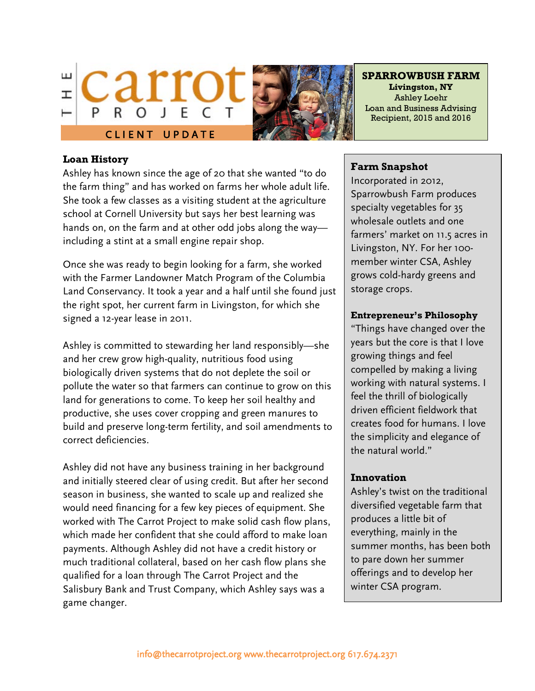



**SPARROWBUSH FARM Livingston, NY** Ashley Loehr Loan and Business Advising Recipient, 2015 and 2016

### **Loan History**

Ashley has known since the age of 20 that she wanted "to do the farm thing" and has worked on farms her whole adult life. She took a few classes as a visiting student at the agriculture school at Cornell University but says her best learning was hands on, on the farm and at other odd jobs along the way including a stint at a small engine repair shop.

Once she was ready to begin looking for a farm, she worked with the Farmer Landowner Match Program of the Columbia Land Conservancy. It took a year and a half until she found just the right spot, her current farm in Livingston, for which she signed a 12-year lease in 2011.

Ashley is committed to stewarding her land responsibly—she and her crew grow high-quality, nutritious food using biologically driven systems that do not deplete the soil or pollute the water so that farmers can continue to grow on this land for generations to come. To keep her soil healthy and productive, she uses cover cropping and green manures to build and preserve long-term fertility, and soil amendments to correct deficiencies.

Ashley did not have any business training in her background and initially steered clear of using credit. But after her second season in business, she wanted to scale up and realized she would need financing for a few key pieces of equipment. She worked with The Carrot Project to make solid cash flow plans, which made her confident that she could afford to make loan payments. Although Ashley did not have a credit history or much traditional collateral, based on her cash flow plans she qualified for a loan through The Carrot Project and the Salisbury Bank and Trust Company, which Ashley says was a game changer.

### **Farm Snapshot**

Incorporated in 2012, Sparrowbush Farm produces specialty vegetables for 35 wholesale outlets and one farmers' market on 11.5 acres in Livingston, NY. For her 100 member winter CSA, Ashley grows cold-hardy greens and storage crops.

### **Entrepreneur's Philosophy**

"Things have changed over the years but the core is that I love growing things and feel compelled by making a living working with natural systems. I feel the thrill of biologically driven efficient fieldwork that creates food for humans. I love the simplicity and elegance of the natural world."

## **Innovation**

 $\overline{\phantom{a}}$ 

Ashley's twist on the traditional diversified vegetable farm that produces a little bit of everything, mainly in the summer months, has been both to pare down her summer offerings and to develop her winter CSA program.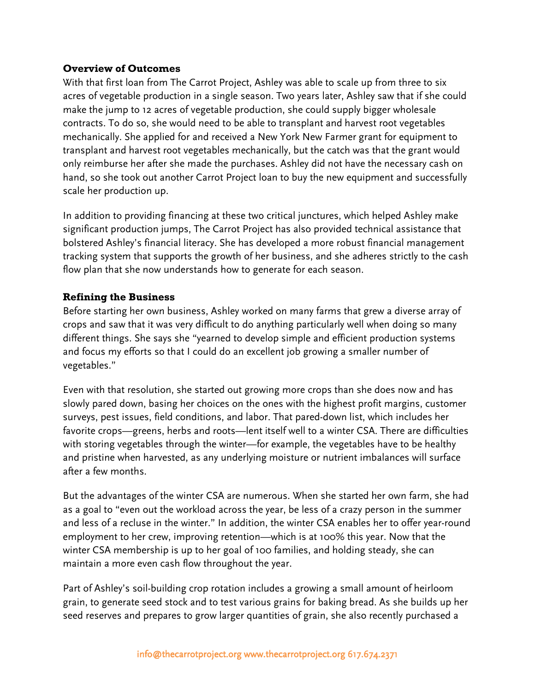## **Overview of Outcomes**

With that first loan from The Carrot Project, Ashley was able to scale up from three to six acres of vegetable production in a single season. Two years later, Ashley saw that if she could make the jump to 12 acres of vegetable production, she could supply bigger wholesale contracts. To do so, she would need to be able to transplant and harvest root vegetables mechanically. She applied for and received a New York New Farmer grant for equipment to transplant and harvest root vegetables mechanically, but the catch was that the grant would only reimburse her after she made the purchases. Ashley did not have the necessary cash on hand, so she took out another Carrot Project loan to buy the new equipment and successfully scale her production up.

In addition to providing financing at these two critical junctures, which helped Ashley make significant production jumps, The Carrot Project has also provided technical assistance that bolstered Ashley's financial literacy. She has developed a more robust financial management tracking system that supports the growth of her business, and she adheres strictly to the cash flow plan that she now understands how to generate for each season.

## **Refining the Business**

Before starting her own business, Ashley worked on many farms that grew a diverse array of crops and saw that it was very difficult to do anything particularly well when doing so many different things. She says she "yearned to develop simple and efficient production systems and focus my efforts so that I could do an excellent job growing a smaller number of vegetables."

Even with that resolution, she started out growing more crops than she does now and has slowly pared down, basing her choices on the ones with the highest profit margins, customer surveys, pest issues, field conditions, and labor. That pared-down list, which includes her favorite crops—greens, herbs and roots—lent itself well to a winter CSA. There are difficulties with storing vegetables through the winter—for example, the vegetables have to be healthy and pristine when harvested, as any underlying moisture or nutrient imbalances will surface after a few months.

But the advantages of the winter CSA are numerous. When she started her own farm, she had as a goal to "even out the workload across the year, be less of a crazy person in the summer and less of a recluse in the winter." In addition, the winter CSA enables her to offer year-round employment to her crew, improving retention—which is at 100% this year. Now that the winter CSA membership is up to her goal of 100 families, and holding steady, she can maintain a more even cash flow throughout the year.

Part of Ashley's soil-building crop rotation includes a growing a small amount of heirloom grain, to generate seed stock and to test various grains for baking bread. As she builds up her seed reserves and prepares to grow larger quantities of grain, she also recently purchased a